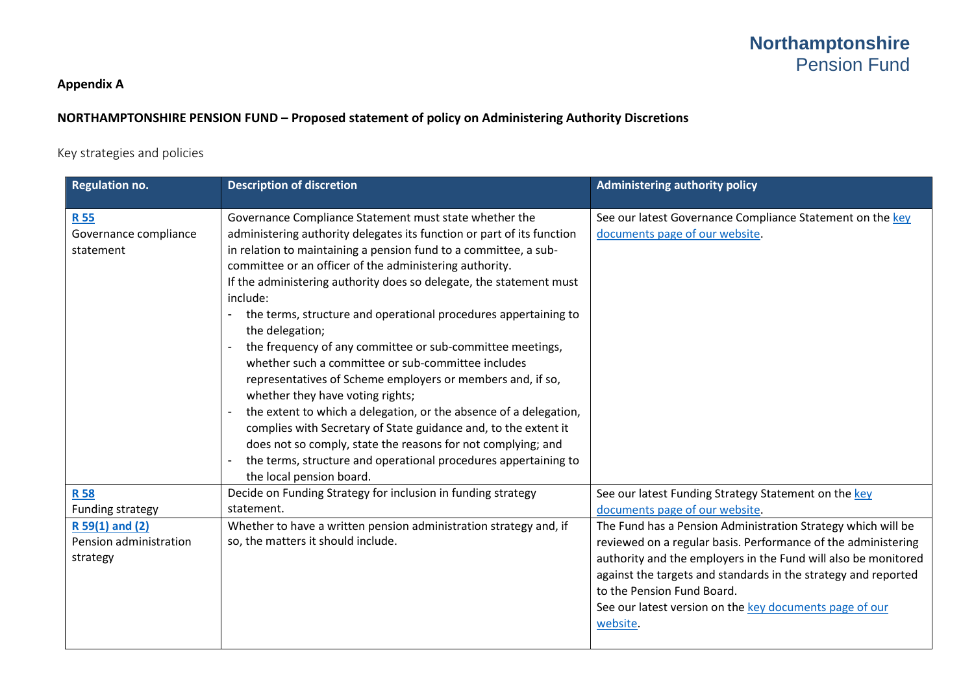### **Appendix A**

### **NORTHAMPTONSHIRE PENSION FUND – Proposed statement of policy on Administering Authority Discretions**

#### Key strategies and policies

| <b>Regulation no.</b>                                     | <b>Description of discretion</b>                                                                                                                                                                                                                                                                                                                                                                                                                                                                                                                                                                                                                                                                                                                                                                                                                                                                                                                                     | <b>Administering authority policy</b>                                                                                                                                                                                                                                                                                                                                  |
|-----------------------------------------------------------|----------------------------------------------------------------------------------------------------------------------------------------------------------------------------------------------------------------------------------------------------------------------------------------------------------------------------------------------------------------------------------------------------------------------------------------------------------------------------------------------------------------------------------------------------------------------------------------------------------------------------------------------------------------------------------------------------------------------------------------------------------------------------------------------------------------------------------------------------------------------------------------------------------------------------------------------------------------------|------------------------------------------------------------------------------------------------------------------------------------------------------------------------------------------------------------------------------------------------------------------------------------------------------------------------------------------------------------------------|
| <b>R55</b><br>Governance compliance<br>statement          | Governance Compliance Statement must state whether the<br>administering authority delegates its function or part of its function<br>in relation to maintaining a pension fund to a committee, a sub-<br>committee or an officer of the administering authority.<br>If the administering authority does so delegate, the statement must<br>include:<br>the terms, structure and operational procedures appertaining to<br>the delegation;<br>the frequency of any committee or sub-committee meetings,<br>whether such a committee or sub-committee includes<br>representatives of Scheme employers or members and, if so,<br>whether they have voting rights;<br>the extent to which a delegation, or the absence of a delegation,<br>complies with Secretary of State guidance and, to the extent it<br>does not so comply, state the reasons for not complying; and<br>the terms, structure and operational procedures appertaining to<br>the local pension board. | See our latest Governance Compliance Statement on the key<br>documents page of our website.                                                                                                                                                                                                                                                                            |
| <b>R58</b><br>Funding strategy                            | Decide on Funding Strategy for inclusion in funding strategy<br>statement.                                                                                                                                                                                                                                                                                                                                                                                                                                                                                                                                                                                                                                                                                                                                                                                                                                                                                           | See our latest Funding Strategy Statement on the key<br>documents page of our website.                                                                                                                                                                                                                                                                                 |
| $R 59(1)$ and $(2)$<br>Pension administration<br>strategy | Whether to have a written pension administration strategy and, if<br>so, the matters it should include.                                                                                                                                                                                                                                                                                                                                                                                                                                                                                                                                                                                                                                                                                                                                                                                                                                                              | The Fund has a Pension Administration Strategy which will be<br>reviewed on a regular basis. Performance of the administering<br>authority and the employers in the Fund will also be monitored<br>against the targets and standards in the strategy and reported<br>to the Pension Fund Board.<br>See our latest version on the key documents page of our<br>website. |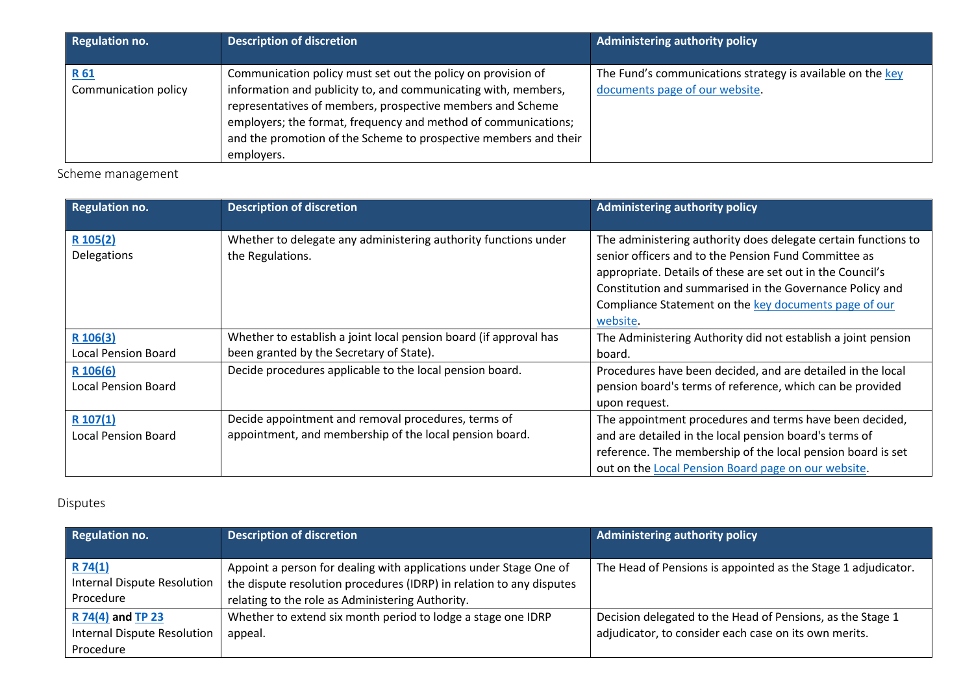| <b>Regulation no.</b>        | <b>Description of discretion</b>                                                                                                                                                                                                                                                                                                                 | <b>Administering authority policy</b>                                                        |
|------------------------------|--------------------------------------------------------------------------------------------------------------------------------------------------------------------------------------------------------------------------------------------------------------------------------------------------------------------------------------------------|----------------------------------------------------------------------------------------------|
| R 61<br>Communication policy | Communication policy must set out the policy on provision of<br>information and publicity to, and communicating with, members,<br>representatives of members, prospective members and Scheme<br>employers; the format, frequency and method of communications;<br>and the promotion of the Scheme to prospective members and their<br>employers. | The Fund's communications strategy is available on the key<br>documents page of our website. |

Scheme management

| <b>Regulation no.</b>                  | <b>Description of discretion</b>                                                                               | <b>Administering authority policy</b>                                                                                                                                                                                                                                                                                 |
|----------------------------------------|----------------------------------------------------------------------------------------------------------------|-----------------------------------------------------------------------------------------------------------------------------------------------------------------------------------------------------------------------------------------------------------------------------------------------------------------------|
| R 105(2)<br><b>Delegations</b>         | Whether to delegate any administering authority functions under<br>the Regulations.                            | The administering authority does delegate certain functions to<br>senior officers and to the Pension Fund Committee as<br>appropriate. Details of these are set out in the Council's<br>Constitution and summarised in the Governance Policy and<br>Compliance Statement on the key documents page of our<br>website. |
| R 106(3)<br><b>Local Pension Board</b> | Whether to establish a joint local pension board (if approval has<br>been granted by the Secretary of State).  | The Administering Authority did not establish a joint pension<br>board.                                                                                                                                                                                                                                               |
| R 106(6)<br><b>Local Pension Board</b> | Decide procedures applicable to the local pension board.                                                       | Procedures have been decided, and are detailed in the local<br>pension board's terms of reference, which can be provided<br>upon request.                                                                                                                                                                             |
| R 107(1)<br><b>Local Pension Board</b> | Decide appointment and removal procedures, terms of<br>appointment, and membership of the local pension board. | The appointment procedures and terms have been decided,<br>and are detailed in the local pension board's terms of<br>reference. The membership of the local pension board is set<br>out on the Local Pension Board page on our website.                                                                               |

## Disputes

| <b>Regulation no.</b>                                         | <b>Description of discretion</b>                                                                                                                                                              | <b>Administering authority policy</b>                                                                               |
|---------------------------------------------------------------|-----------------------------------------------------------------------------------------------------------------------------------------------------------------------------------------------|---------------------------------------------------------------------------------------------------------------------|
| R74(1)<br>Internal Dispute Resolution<br>Procedure            | Appoint a person for dealing with applications under Stage One of<br>the dispute resolution procedures (IDRP) in relation to any disputes<br>relating to the role as Administering Authority. | The Head of Pensions is appointed as the Stage 1 adjudicator.                                                       |
| R 74(4) and TP 23<br>Internal Dispute Resolution<br>Procedure | Whether to extend six month period to lodge a stage one IDRP<br>appeal.                                                                                                                       | Decision delegated to the Head of Pensions, as the Stage 1<br>adjudicator, to consider each case on its own merits. |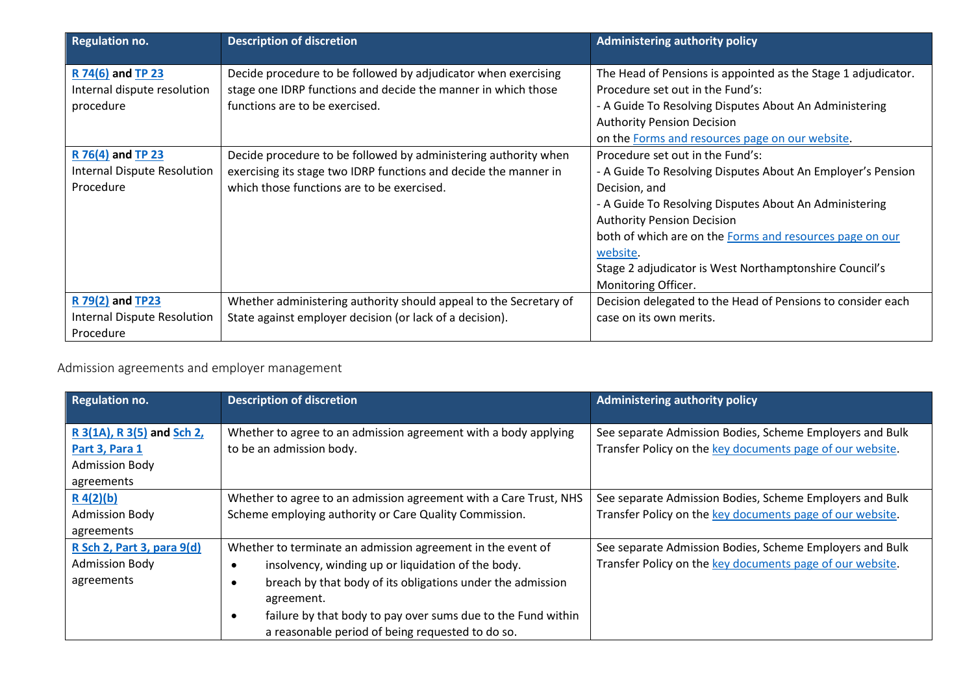| <b>Regulation no.</b>       | <b>Description of discretion</b>                                  | <b>Administering authority policy</b>                         |
|-----------------------------|-------------------------------------------------------------------|---------------------------------------------------------------|
| R 74(6) and TP 23           | Decide procedure to be followed by adjudicator when exercising    | The Head of Pensions is appointed as the Stage 1 adjudicator. |
| Internal dispute resolution | stage one IDRP functions and decide the manner in which those     | Procedure set out in the Fund's:                              |
| procedure                   | functions are to be exercised.                                    | - A Guide To Resolving Disputes About An Administering        |
|                             |                                                                   | <b>Authority Pension Decision</b>                             |
|                             |                                                                   | on the Forms and resources page on our website.               |
| R 76(4) and TP 23           | Decide procedure to be followed by administering authority when   | Procedure set out in the Fund's:                              |
| Internal Dispute Resolution | exercising its stage two IDRP functions and decide the manner in  | - A Guide To Resolving Disputes About An Employer's Pension   |
| Procedure                   | which those functions are to be exercised.                        | Decision, and                                                 |
|                             |                                                                   | - A Guide To Resolving Disputes About An Administering        |
|                             |                                                                   | <b>Authority Pension Decision</b>                             |
|                             |                                                                   | both of which are on the Forms and resources page on our      |
|                             |                                                                   | website.                                                      |
|                             |                                                                   | Stage 2 adjudicator is West Northamptonshire Council's        |
|                             |                                                                   | Monitoring Officer.                                           |
| R 79(2) and TP23            | Whether administering authority should appeal to the Secretary of | Decision delegated to the Head of Pensions to consider each   |
| Internal Dispute Resolution | State against employer decision (or lack of a decision).          | case on its own merits.                                       |
| Procedure                   |                                                                   |                                                               |

# Admission agreements and employer management

| <b>Regulation no.</b>      | <b>Description of discretion</b>                                  | <b>Administering authority policy</b>                     |
|----------------------------|-------------------------------------------------------------------|-----------------------------------------------------------|
|                            |                                                                   |                                                           |
| R 3(1A), R 3(5) and Sch 2, | Whether to agree to an admission agreement with a body applying   | See separate Admission Bodies, Scheme Employers and Bulk  |
| Part 3, Para 1             | to be an admission body.                                          | Transfer Policy on the key documents page of our website. |
| <b>Admission Body</b>      |                                                                   |                                                           |
| agreements                 |                                                                   |                                                           |
| $R_4(2)(b)$                | Whether to agree to an admission agreement with a Care Trust, NHS | See separate Admission Bodies, Scheme Employers and Bulk  |
| <b>Admission Body</b>      | Scheme employing authority or Care Quality Commission.            | Transfer Policy on the key documents page of our website. |
| agreements                 |                                                                   |                                                           |
| R Sch 2, Part 3, para 9(d) | Whether to terminate an admission agreement in the event of       | See separate Admission Bodies, Scheme Employers and Bulk  |
| <b>Admission Body</b>      | insolvency, winding up or liquidation of the body.                | Transfer Policy on the key documents page of our website. |
| agreements                 | breach by that body of its obligations under the admission        |                                                           |
|                            | agreement.                                                        |                                                           |
|                            | failure by that body to pay over sums due to the Fund within      |                                                           |
|                            | a reasonable period of being requested to do so.                  |                                                           |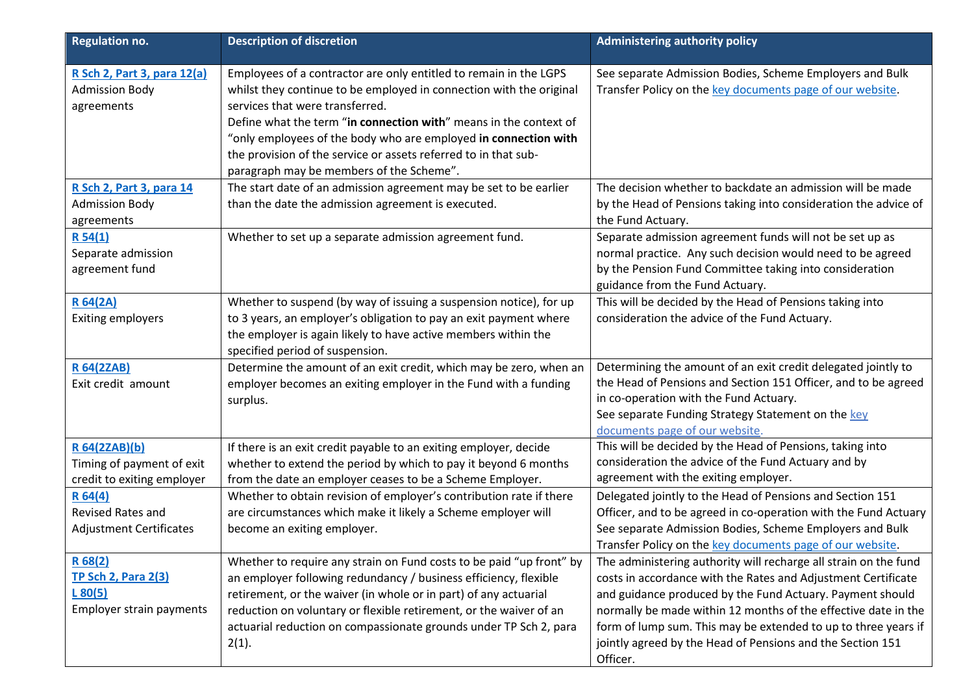| <b>Regulation no.</b>                                                       | <b>Description of discretion</b>                                                                                                                                                                                                                                                                                                                                                                                                   | <b>Administering authority policy</b>                                                                                                                                                                                                                                                                                                                                                                        |
|-----------------------------------------------------------------------------|------------------------------------------------------------------------------------------------------------------------------------------------------------------------------------------------------------------------------------------------------------------------------------------------------------------------------------------------------------------------------------------------------------------------------------|--------------------------------------------------------------------------------------------------------------------------------------------------------------------------------------------------------------------------------------------------------------------------------------------------------------------------------------------------------------------------------------------------------------|
| R Sch 2, Part 3, para 12(a)<br><b>Admission Body</b><br>agreements          | Employees of a contractor are only entitled to remain in the LGPS<br>whilst they continue to be employed in connection with the original<br>services that were transferred.<br>Define what the term "in connection with" means in the context of<br>"only employees of the body who are employed in connection with<br>the provision of the service or assets referred to in that sub-<br>paragraph may be members of the Scheme". | See separate Admission Bodies, Scheme Employers and Bulk<br>Transfer Policy on the key documents page of our website.                                                                                                                                                                                                                                                                                        |
| R Sch 2, Part 3, para 14<br><b>Admission Body</b><br>agreements             | The start date of an admission agreement may be set to be earlier<br>than the date the admission agreement is executed.                                                                                                                                                                                                                                                                                                            | The decision whether to backdate an admission will be made<br>by the Head of Pensions taking into consideration the advice of<br>the Fund Actuary.                                                                                                                                                                                                                                                           |
| R54(1)<br>Separate admission<br>agreement fund                              | Whether to set up a separate admission agreement fund.                                                                                                                                                                                                                                                                                                                                                                             | Separate admission agreement funds will not be set up as<br>normal practice. Any such decision would need to be agreed<br>by the Pension Fund Committee taking into consideration<br>guidance from the Fund Actuary.                                                                                                                                                                                         |
| <b>R64(2A)</b><br><b>Exiting employers</b>                                  | Whether to suspend (by way of issuing a suspension notice), for up<br>to 3 years, an employer's obligation to pay an exit payment where<br>the employer is again likely to have active members within the<br>specified period of suspension.                                                                                                                                                                                       | This will be decided by the Head of Pensions taking into<br>consideration the advice of the Fund Actuary.                                                                                                                                                                                                                                                                                                    |
| <b>R 64(2ZAB)</b><br>Exit credit amount                                     | Determine the amount of an exit credit, which may be zero, when an<br>employer becomes an exiting employer in the Fund with a funding<br>surplus.                                                                                                                                                                                                                                                                                  | Determining the amount of an exit credit delegated jointly to<br>the Head of Pensions and Section 151 Officer, and to be agreed<br>in co-operation with the Fund Actuary.<br>See separate Funding Strategy Statement on the key<br>documents page of our website.                                                                                                                                            |
| R 64(2ZAB)(b)<br>Timing of payment of exit<br>credit to exiting employer    | If there is an exit credit payable to an exiting employer, decide<br>whether to extend the period by which to pay it beyond 6 months<br>from the date an employer ceases to be a Scheme Employer.                                                                                                                                                                                                                                  | This will be decided by the Head of Pensions, taking into<br>consideration the advice of the Fund Actuary and by<br>agreement with the exiting employer.                                                                                                                                                                                                                                                     |
| R64(4)<br><b>Revised Rates and</b><br><b>Adjustment Certificates</b>        | Whether to obtain revision of employer's contribution rate if there<br>are circumstances which make it likely a Scheme employer will<br>become an exiting employer.                                                                                                                                                                                                                                                                | Delegated jointly to the Head of Pensions and Section 151<br>Officer, and to be agreed in co-operation with the Fund Actuary<br>See separate Admission Bodies, Scheme Employers and Bulk<br>Transfer Policy on the key documents page of our website.                                                                                                                                                        |
| R 68(2)<br><b>TP Sch 2, Para 2(3)</b><br>L80(5)<br>Employer strain payments | Whether to require any strain on Fund costs to be paid "up front" by<br>an employer following redundancy / business efficiency, flexible<br>retirement, or the waiver (in whole or in part) of any actuarial<br>reduction on voluntary or flexible retirement, or the waiver of an<br>actuarial reduction on compassionate grounds under TP Sch 2, para<br>2(1).                                                                   | The administering authority will recharge all strain on the fund<br>costs in accordance with the Rates and Adjustment Certificate<br>and guidance produced by the Fund Actuary. Payment should<br>normally be made within 12 months of the effective date in the<br>form of lump sum. This may be extended to up to three years if<br>jointly agreed by the Head of Pensions and the Section 151<br>Officer. |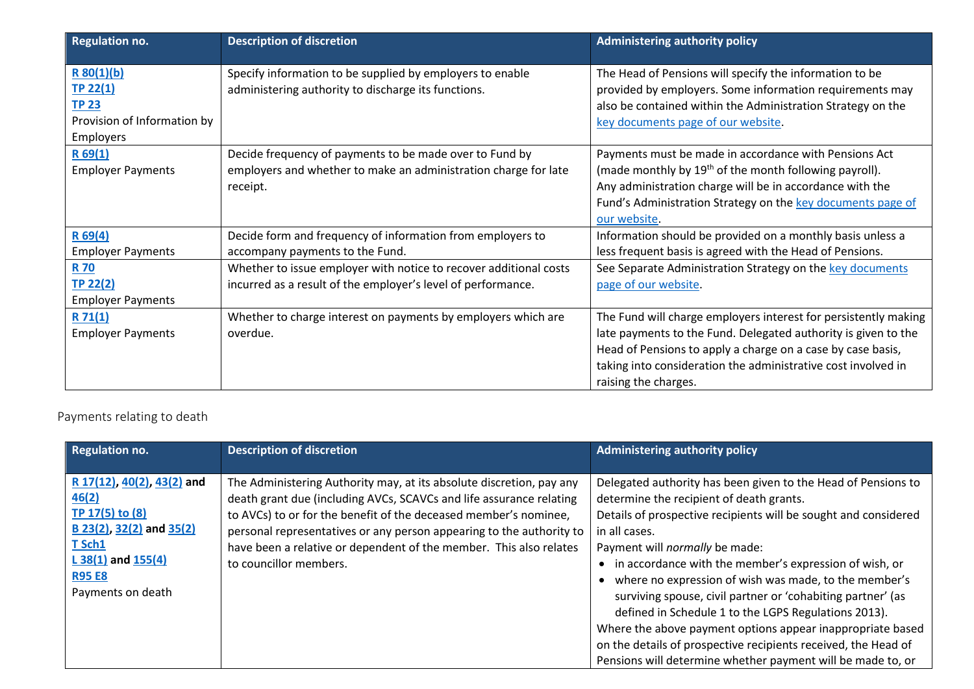| <b>Regulation no.</b>                                                              | <b>Description of discretion</b>                                                                                                       | <b>Administering authority policy</b>                                                                                                                                                                                                                                  |
|------------------------------------------------------------------------------------|----------------------------------------------------------------------------------------------------------------------------------------|------------------------------------------------------------------------------------------------------------------------------------------------------------------------------------------------------------------------------------------------------------------------|
| R 80(1)(b)<br>TP 22(1)<br><b>TP 23</b><br>Provision of Information by<br>Employers | Specify information to be supplied by employers to enable<br>administering authority to discharge its functions.                       | The Head of Pensions will specify the information to be<br>provided by employers. Some information requirements may<br>also be contained within the Administration Strategy on the<br>key documents page of our website.                                               |
| R69(1)<br><b>Employer Payments</b>                                                 | Decide frequency of payments to be made over to Fund by<br>employers and whether to make an administration charge for late<br>receipt. | Payments must be made in accordance with Pensions Act<br>(made monthly by 19 <sup>th</sup> of the month following payroll).<br>Any administration charge will be in accordance with the<br>Fund's Administration Strategy on the key documents page of<br>our website. |
| R69(4)                                                                             | Decide form and frequency of information from employers to                                                                             | Information should be provided on a monthly basis unless a                                                                                                                                                                                                             |
| <b>Employer Payments</b><br><b>R70</b>                                             | accompany payments to the Fund.<br>Whether to issue employer with notice to recover additional costs                                   | less frequent basis is agreed with the Head of Pensions.<br>See Separate Administration Strategy on the key documents                                                                                                                                                  |
| TP 22(2)<br><b>Employer Payments</b>                                               | incurred as a result of the employer's level of performance.                                                                           | page of our website.                                                                                                                                                                                                                                                   |
| R71(1)                                                                             | Whether to charge interest on payments by employers which are                                                                          | The Fund will charge employers interest for persistently making                                                                                                                                                                                                        |
| <b>Employer Payments</b>                                                           | overdue.                                                                                                                               | late payments to the Fund. Delegated authority is given to the<br>Head of Pensions to apply a charge on a case by case basis,<br>taking into consideration the administrative cost involved in<br>raising the charges.                                                 |

# Payments relating to death

| <b>Regulation no.</b>                                                                                                                                        | <b>Description of discretion</b>                                                                                                                                                                                                                                                                                                                                                        | Administering authority policy                                                                                                                                                                                                                                                                                                                                                                                                                                                                                                                                                                                                                                                  |
|--------------------------------------------------------------------------------------------------------------------------------------------------------------|-----------------------------------------------------------------------------------------------------------------------------------------------------------------------------------------------------------------------------------------------------------------------------------------------------------------------------------------------------------------------------------------|---------------------------------------------------------------------------------------------------------------------------------------------------------------------------------------------------------------------------------------------------------------------------------------------------------------------------------------------------------------------------------------------------------------------------------------------------------------------------------------------------------------------------------------------------------------------------------------------------------------------------------------------------------------------------------|
| R 17(12), 40(2), 43(2) and<br>46(2)<br>TP 17(5) to (8)<br>B 23(2), 32(2) and 35(2)<br>T Sch1<br>L $38(1)$ and $155(4)$<br><b>R95 E8</b><br>Payments on death | The Administering Authority may, at its absolute discretion, pay any<br>death grant due (including AVCs, SCAVCs and life assurance relating<br>to AVCs) to or for the benefit of the deceased member's nominee,<br>personal representatives or any person appearing to the authority to<br>have been a relative or dependent of the member. This also relates<br>to councillor members. | Delegated authority has been given to the Head of Pensions to<br>determine the recipient of death grants.<br>Details of prospective recipients will be sought and considered<br>in all cases.<br>Payment will <i>normally</i> be made:<br>in accordance with the member's expression of wish, or<br>where no expression of wish was made, to the member's<br>surviving spouse, civil partner or 'cohabiting partner' (as<br>defined in Schedule 1 to the LGPS Regulations 2013).<br>Where the above payment options appear inappropriate based<br>on the details of prospective recipients received, the Head of<br>Pensions will determine whether payment will be made to, or |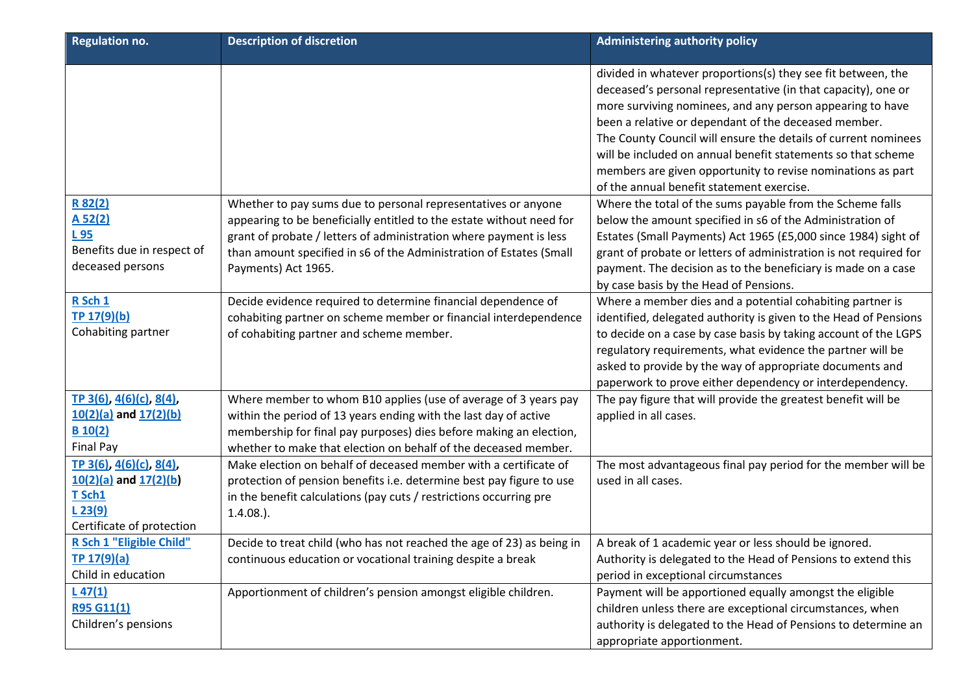| <b>Regulation no.</b>                                                                                        | <b>Description of discretion</b>                                                                                                                                                                                                                                                                          | <b>Administering authority policy</b>                                                                                                                                                                                                                                                                                                                                                                                                                                                            |
|--------------------------------------------------------------------------------------------------------------|-----------------------------------------------------------------------------------------------------------------------------------------------------------------------------------------------------------------------------------------------------------------------------------------------------------|--------------------------------------------------------------------------------------------------------------------------------------------------------------------------------------------------------------------------------------------------------------------------------------------------------------------------------------------------------------------------------------------------------------------------------------------------------------------------------------------------|
|                                                                                                              |                                                                                                                                                                                                                                                                                                           | divided in whatever proportions(s) they see fit between, the<br>deceased's personal representative (in that capacity), one or<br>more surviving nominees, and any person appearing to have<br>been a relative or dependant of the deceased member.<br>The County Council will ensure the details of current nominees<br>will be included on annual benefit statements so that scheme<br>members are given opportunity to revise nominations as part<br>of the annual benefit statement exercise. |
| R 82(2)<br>A 52(2)<br>L 95<br>Benefits due in respect of<br>deceased persons                                 | Whether to pay sums due to personal representatives or anyone<br>appearing to be beneficially entitled to the estate without need for<br>grant of probate / letters of administration where payment is less<br>than amount specified in s6 of the Administration of Estates (Small<br>Payments) Act 1965. | Where the total of the sums payable from the Scheme falls<br>below the amount specified in s6 of the Administration of<br>Estates (Small Payments) Act 1965 (£5,000 since 1984) sight of<br>grant of probate or letters of administration is not required for<br>payment. The decision as to the beneficiary is made on a case<br>by case basis by the Head of Pensions.                                                                                                                         |
| R Sch 1<br>TP 17(9)(b)<br>Cohabiting partner                                                                 | Decide evidence required to determine financial dependence of<br>cohabiting partner on scheme member or financial interdependence<br>of cohabiting partner and scheme member.                                                                                                                             | Where a member dies and a potential cohabiting partner is<br>identified, delegated authority is given to the Head of Pensions<br>to decide on a case by case basis by taking account of the LGPS<br>regulatory requirements, what evidence the partner will be<br>asked to provide by the way of appropriate documents and<br>paperwork to prove either dependency or interdependency.                                                                                                           |
| TP 3(6), 4(6)(c), 8(4),<br>$10(2)(a)$ and $17(2)(b)$<br>B 10(2)<br>Final Pay                                 | Where member to whom B10 applies (use of average of 3 years pay<br>within the period of 13 years ending with the last day of active<br>membership for final pay purposes) dies before making an election,<br>whether to make that election on behalf of the deceased member.                              | The pay figure that will provide the greatest benefit will be<br>applied in all cases.                                                                                                                                                                                                                                                                                                                                                                                                           |
| TP 3(6), $4(6)(c)$ , $8(4)$ ,<br>$10(2)(a)$ and $17(2)(b)$<br>T Sch1<br>L 23(9)<br>Certificate of protection | Make election on behalf of deceased member with a certificate of<br>protection of pension benefits i.e. determine best pay figure to use<br>in the benefit calculations (pay cuts / restrictions occurring pre<br>$1.4.08.$ ).                                                                            | The most advantageous final pay period for the member will be<br>used in all cases.                                                                                                                                                                                                                                                                                                                                                                                                              |
| R Sch 1 "Eligible Child"<br>TP 17(9)(a)<br>Child in education                                                | Decide to treat child (who has not reached the age of 23) as being in<br>continuous education or vocational training despite a break                                                                                                                                                                      | A break of 1 academic year or less should be ignored.<br>Authority is delegated to the Head of Pensions to extend this<br>period in exceptional circumstances                                                                                                                                                                                                                                                                                                                                    |
| $L$ 47(1)<br><b>R95 G11(1)</b><br>Children's pensions                                                        | Apportionment of children's pension amongst eligible children.                                                                                                                                                                                                                                            | Payment will be apportioned equally amongst the eligible<br>children unless there are exceptional circumstances, when<br>authority is delegated to the Head of Pensions to determine an<br>appropriate apportionment.                                                                                                                                                                                                                                                                            |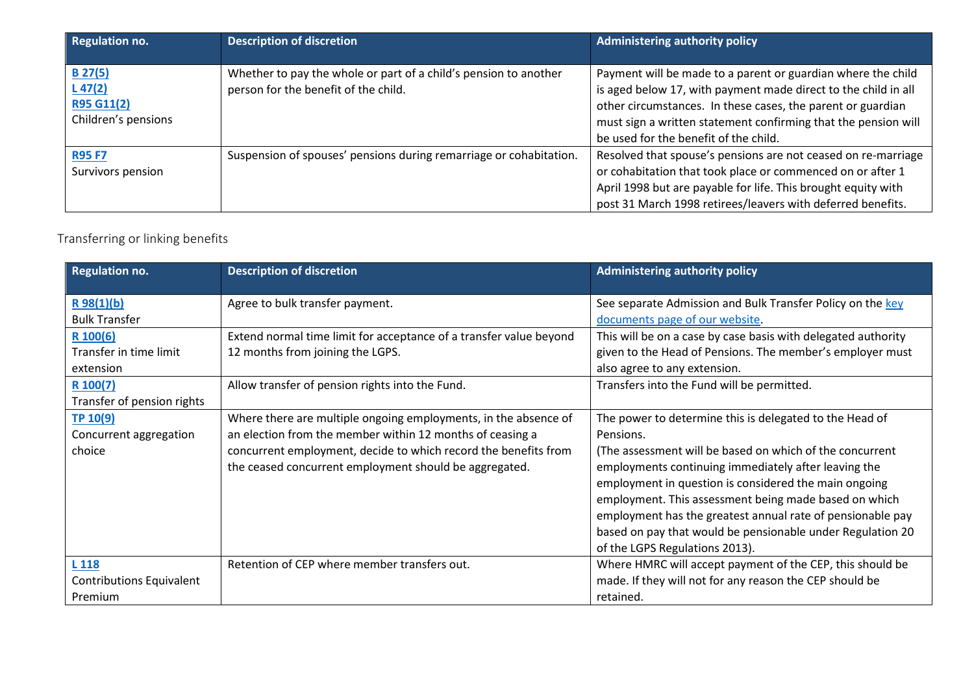| <b>Regulation no.</b>                                       | <b>Description of discretion</b>                                                                         | <b>Administering authority policy</b>                                                                                                                                                                                                                                                                    |
|-------------------------------------------------------------|----------------------------------------------------------------------------------------------------------|----------------------------------------------------------------------------------------------------------------------------------------------------------------------------------------------------------------------------------------------------------------------------------------------------------|
| $B$ 27(5)<br>$L$ 47(2)<br>R95 G11(2)<br>Children's pensions | Whether to pay the whole or part of a child's pension to another<br>person for the benefit of the child. | Payment will be made to a parent or guardian where the child<br>is aged below 17, with payment made direct to the child in all<br>other circumstances. In these cases, the parent or guardian<br>must sign a written statement confirming that the pension will<br>be used for the benefit of the child. |
| <b>R95 F7</b><br>Survivors pension                          | Suspension of spouses' pensions during remarriage or cohabitation.                                       | Resolved that spouse's pensions are not ceased on re-marriage<br>or cohabitation that took place or commenced on or after 1<br>April 1998 but are payable for life. This brought equity with<br>post 31 March 1998 retirees/leavers with deferred benefits.                                              |

# Transferring or linking benefits

| <b>Regulation no.</b>           | <b>Description of discretion</b>                                   | <b>Administering authority policy</b>                         |
|---------------------------------|--------------------------------------------------------------------|---------------------------------------------------------------|
| R98(1)(b)                       | Agree to bulk transfer payment.                                    | See separate Admission and Bulk Transfer Policy on the key    |
| <b>Bulk Transfer</b>            |                                                                    | documents page of our website.                                |
| $R$ 100(6)                      | Extend normal time limit for acceptance of a transfer value beyond | This will be on a case by case basis with delegated authority |
| Transfer in time limit          | 12 months from joining the LGPS.                                   | given to the Head of Pensions. The member's employer must     |
| extension                       |                                                                    | also agree to any extension.                                  |
| $R$ 100(7)                      | Allow transfer of pension rights into the Fund.                    | Transfers into the Fund will be permitted.                    |
| Transfer of pension rights      |                                                                    |                                                               |
| TP 10(9)                        | Where there are multiple ongoing employments, in the absence of    | The power to determine this is delegated to the Head of       |
| Concurrent aggregation          | an election from the member within 12 months of ceasing a          | Pensions.                                                     |
| choice                          | concurrent employment, decide to which record the benefits from    | (The assessment will be based on which of the concurrent      |
|                                 | the ceased concurrent employment should be aggregated.             | employments continuing immediately after leaving the          |
|                                 |                                                                    | employment in question is considered the main ongoing         |
|                                 |                                                                    | employment. This assessment being made based on which         |
|                                 |                                                                    | employment has the greatest annual rate of pensionable pay    |
|                                 |                                                                    | based on pay that would be pensionable under Regulation 20    |
|                                 |                                                                    | of the LGPS Regulations 2013).                                |
| L 118                           | Retention of CEP where member transfers out.                       | Where HMRC will accept payment of the CEP, this should be     |
| <b>Contributions Equivalent</b> |                                                                    | made. If they will not for any reason the CEP should be       |
| Premium                         |                                                                    | retained.                                                     |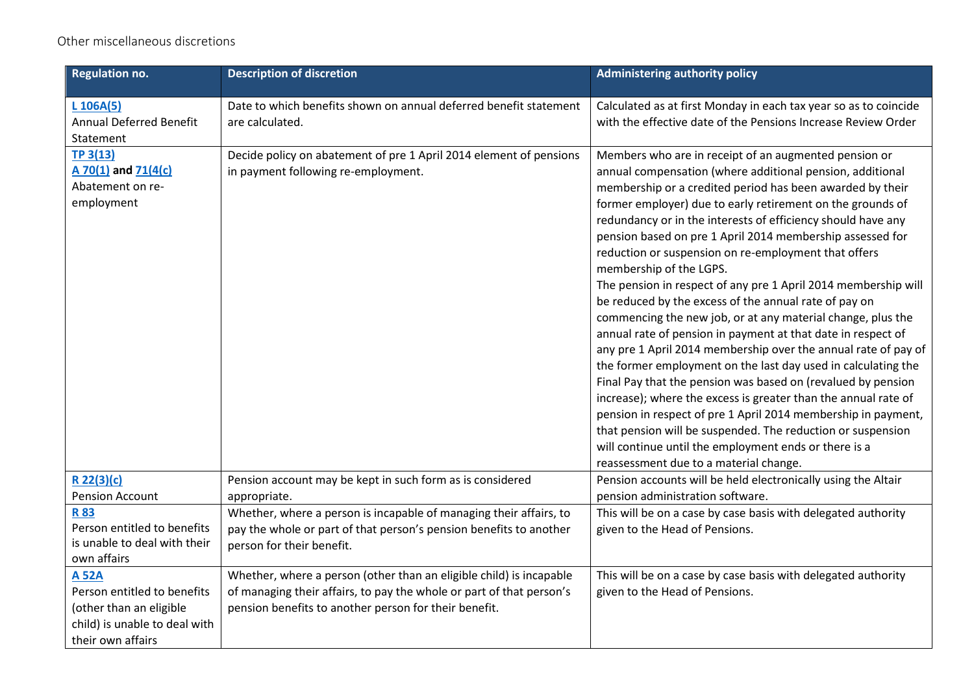## Other miscellaneous discretions

| <b>Regulation no.</b>                                                                                                        | <b>Description of discretion</b>                                                                                                                                                                     | <b>Administering authority policy</b>                                                                                                                                                                                                                                                                                                                                                                                                                                                                                                                                                                                                                                                                                                                                                                                                                                                                                                                                                                                                                                                                                                                                                                                           |
|------------------------------------------------------------------------------------------------------------------------------|------------------------------------------------------------------------------------------------------------------------------------------------------------------------------------------------------|---------------------------------------------------------------------------------------------------------------------------------------------------------------------------------------------------------------------------------------------------------------------------------------------------------------------------------------------------------------------------------------------------------------------------------------------------------------------------------------------------------------------------------------------------------------------------------------------------------------------------------------------------------------------------------------------------------------------------------------------------------------------------------------------------------------------------------------------------------------------------------------------------------------------------------------------------------------------------------------------------------------------------------------------------------------------------------------------------------------------------------------------------------------------------------------------------------------------------------|
| $L$ 106A(5)<br><b>Annual Deferred Benefit</b><br>Statement                                                                   | Date to which benefits shown on annual deferred benefit statement<br>are calculated.                                                                                                                 | Calculated as at first Monday in each tax year so as to coincide<br>with the effective date of the Pensions Increase Review Order                                                                                                                                                                                                                                                                                                                                                                                                                                                                                                                                                                                                                                                                                                                                                                                                                                                                                                                                                                                                                                                                                               |
| TP 3(13)<br>A 70(1) and 71(4(c)<br>Abatement on re-<br>employment                                                            | Decide policy on abatement of pre 1 April 2014 element of pensions<br>in payment following re-employment.                                                                                            | Members who are in receipt of an augmented pension or<br>annual compensation (where additional pension, additional<br>membership or a credited period has been awarded by their<br>former employer) due to early retirement on the grounds of<br>redundancy or in the interests of efficiency should have any<br>pension based on pre 1 April 2014 membership assessed for<br>reduction or suspension on re-employment that offers<br>membership of the LGPS.<br>The pension in respect of any pre 1 April 2014 membership will<br>be reduced by the excess of the annual rate of pay on<br>commencing the new job, or at any material change, plus the<br>annual rate of pension in payment at that date in respect of<br>any pre 1 April 2014 membership over the annual rate of pay of<br>the former employment on the last day used in calculating the<br>Final Pay that the pension was based on (revalued by pension<br>increase); where the excess is greater than the annual rate of<br>pension in respect of pre 1 April 2014 membership in payment,<br>that pension will be suspended. The reduction or suspension<br>will continue until the employment ends or there is a<br>reassessment due to a material change. |
| $R$ 22(3)(c)<br><b>Pension Account</b>                                                                                       | Pension account may be kept in such form as is considered<br>appropriate.                                                                                                                            | Pension accounts will be held electronically using the Altair<br>pension administration software.                                                                                                                                                                                                                                                                                                                                                                                                                                                                                                                                                                                                                                                                                                                                                                                                                                                                                                                                                                                                                                                                                                                               |
| <b>R83</b><br>Person entitled to benefits<br>is unable to deal with their<br>own affairs                                     | Whether, where a person is incapable of managing their affairs, to<br>pay the whole or part of that person's pension benefits to another<br>person for their benefit.                                | This will be on a case by case basis with delegated authority<br>given to the Head of Pensions.                                                                                                                                                                                                                                                                                                                                                                                                                                                                                                                                                                                                                                                                                                                                                                                                                                                                                                                                                                                                                                                                                                                                 |
| <b>A 52A</b><br>Person entitled to benefits<br>(other than an eligible<br>child) is unable to deal with<br>their own affairs | Whether, where a person (other than an eligible child) is incapable<br>of managing their affairs, to pay the whole or part of that person's<br>pension benefits to another person for their benefit. | This will be on a case by case basis with delegated authority<br>given to the Head of Pensions.                                                                                                                                                                                                                                                                                                                                                                                                                                                                                                                                                                                                                                                                                                                                                                                                                                                                                                                                                                                                                                                                                                                                 |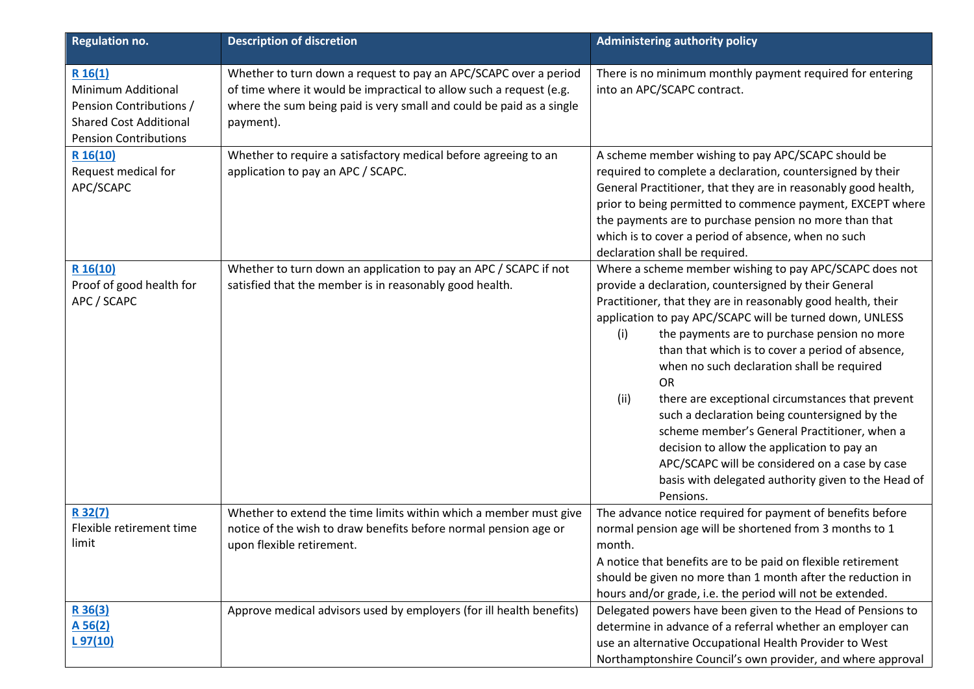| <b>Regulation no.</b>                                                                                                            | <b>Description of discretion</b>                                                                                                                                                                                             | <b>Administering authority policy</b>                                                                                                                                                                                                                                                                                                                                                                                                                                                                                                                                                                                                                                                                                                                |
|----------------------------------------------------------------------------------------------------------------------------------|------------------------------------------------------------------------------------------------------------------------------------------------------------------------------------------------------------------------------|------------------------------------------------------------------------------------------------------------------------------------------------------------------------------------------------------------------------------------------------------------------------------------------------------------------------------------------------------------------------------------------------------------------------------------------------------------------------------------------------------------------------------------------------------------------------------------------------------------------------------------------------------------------------------------------------------------------------------------------------------|
| R 16(1)<br><b>Minimum Additional</b><br>Pension Contributions /<br><b>Shared Cost Additional</b><br><b>Pension Contributions</b> | Whether to turn down a request to pay an APC/SCAPC over a period<br>of time where it would be impractical to allow such a request (e.g.<br>where the sum being paid is very small and could be paid as a single<br>payment). | There is no minimum monthly payment required for entering<br>into an APC/SCAPC contract.                                                                                                                                                                                                                                                                                                                                                                                                                                                                                                                                                                                                                                                             |
| R 16(10)<br>Request medical for<br>APC/SCAPC                                                                                     | Whether to require a satisfactory medical before agreeing to an<br>application to pay an APC / SCAPC.                                                                                                                        | A scheme member wishing to pay APC/SCAPC should be<br>required to complete a declaration, countersigned by their<br>General Practitioner, that they are in reasonably good health,<br>prior to being permitted to commence payment, EXCEPT where<br>the payments are to purchase pension no more than that<br>which is to cover a period of absence, when no such<br>declaration shall be required.                                                                                                                                                                                                                                                                                                                                                  |
| R 16(10)<br>Proof of good health for<br>APC / SCAPC                                                                              | Whether to turn down an application to pay an APC / SCAPC if not<br>satisfied that the member is in reasonably good health.                                                                                                  | Where a scheme member wishing to pay APC/SCAPC does not<br>provide a declaration, countersigned by their General<br>Practitioner, that they are in reasonably good health, their<br>application to pay APC/SCAPC will be turned down, UNLESS<br>the payments are to purchase pension no more<br>(i)<br>than that which is to cover a period of absence,<br>when no such declaration shall be required<br><b>OR</b><br>there are exceptional circumstances that prevent<br>(ii)<br>such a declaration being countersigned by the<br>scheme member's General Practitioner, when a<br>decision to allow the application to pay an<br>APC/SCAPC will be considered on a case by case<br>basis with delegated authority given to the Head of<br>Pensions. |
| R 32(7)<br>Flexible retirement time<br>limit                                                                                     | Whether to extend the time limits within which a member must give<br>notice of the wish to draw benefits before normal pension age or<br>upon flexible retirement.                                                           | The advance notice required for payment of benefits before<br>normal pension age will be shortened from 3 months to 1<br>month.<br>A notice that benefits are to be paid on flexible retirement<br>should be given no more than 1 month after the reduction in<br>hours and/or grade, i.e. the period will not be extended.                                                                                                                                                                                                                                                                                                                                                                                                                          |
| R36(3)<br>A 56(2)<br>L97(10)                                                                                                     | Approve medical advisors used by employers (for ill health benefits)                                                                                                                                                         | Delegated powers have been given to the Head of Pensions to<br>determine in advance of a referral whether an employer can<br>use an alternative Occupational Health Provider to West<br>Northamptonshire Council's own provider, and where approval                                                                                                                                                                                                                                                                                                                                                                                                                                                                                                  |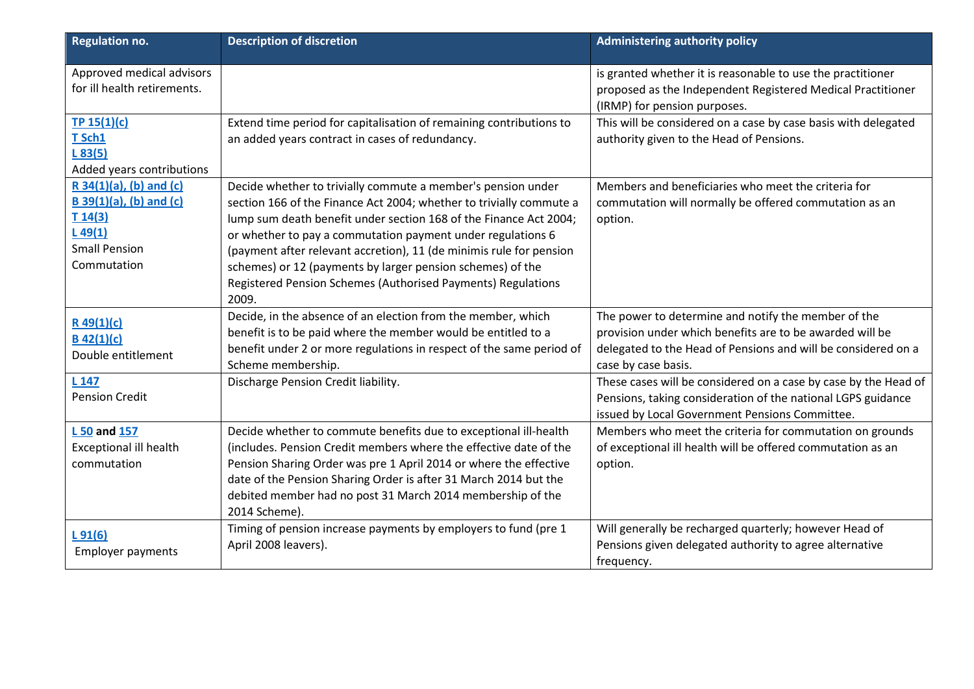| <b>Regulation no.</b>          | <b>Description of discretion</b>                                      | <b>Administering authority policy</b>                                                       |
|--------------------------------|-----------------------------------------------------------------------|---------------------------------------------------------------------------------------------|
| Approved medical advisors      |                                                                       | is granted whether it is reasonable to use the practitioner                                 |
| for ill health retirements.    |                                                                       | proposed as the Independent Registered Medical Practitioner<br>(IRMP) for pension purposes. |
| TP $15(1)(c)$                  | Extend time period for capitalisation of remaining contributions to   | This will be considered on a case by case basis with delegated                              |
| T Sch1                         | an added years contract in cases of redundancy.                       | authority given to the Head of Pensions.                                                    |
| L83(5)                         |                                                                       |                                                                                             |
| Added years contributions      |                                                                       |                                                                                             |
| $R$ 34(1)(a), (b) and (c)      | Decide whether to trivially commute a member's pension under          | Members and beneficiaries who meet the criteria for                                         |
| <b>B</b> 39(1)(a), (b) and (c) | section 166 of the Finance Act 2004; whether to trivially commute a   | commutation will normally be offered commutation as an                                      |
| T14(3)                         | lump sum death benefit under section 168 of the Finance Act 2004;     | option.                                                                                     |
| L49(1)                         | or whether to pay a commutation payment under regulations 6           |                                                                                             |
| <b>Small Pension</b>           | (payment after relevant accretion), 11 (de minimis rule for pension   |                                                                                             |
| Commutation                    | schemes) or 12 (payments by larger pension schemes) of the            |                                                                                             |
|                                | Registered Pension Schemes (Authorised Payments) Regulations<br>2009. |                                                                                             |
| $R$ 49(1)(c)                   | Decide, in the absence of an election from the member, which          | The power to determine and notify the member of the                                         |
| $B$ 42(1)(c)                   | benefit is to be paid where the member would be entitled to a         | provision under which benefits are to be awarded will be                                    |
| Double entitlement             | benefit under 2 or more regulations in respect of the same period of  | delegated to the Head of Pensions and will be considered on a                               |
|                                | Scheme membership.                                                    | case by case basis.                                                                         |
| L 147                          | Discharge Pension Credit liability.                                   | These cases will be considered on a case by case by the Head of                             |
| <b>Pension Credit</b>          |                                                                       | Pensions, taking consideration of the national LGPS guidance                                |
|                                |                                                                       | issued by Local Government Pensions Committee.                                              |
| L 50 and 157                   | Decide whether to commute benefits due to exceptional ill-health      | Members who meet the criteria for commutation on grounds                                    |
| <b>Exceptional ill health</b>  | (includes. Pension Credit members where the effective date of the     | of exceptional ill health will be offered commutation as an                                 |
| commutation                    | Pension Sharing Order was pre 1 April 2014 or where the effective     | option.                                                                                     |
|                                | date of the Pension Sharing Order is after 31 March 2014 but the      |                                                                                             |
|                                | debited member had no post 31 March 2014 membership of the            |                                                                                             |
|                                | 2014 Scheme).                                                         |                                                                                             |
| L91(6)                         | Timing of pension increase payments by employers to fund (pre 1       | Will generally be recharged quarterly; however Head of                                      |
| <b>Employer payments</b>       | April 2008 leavers).                                                  | Pensions given delegated authority to agree alternative                                     |
|                                |                                                                       | frequency.                                                                                  |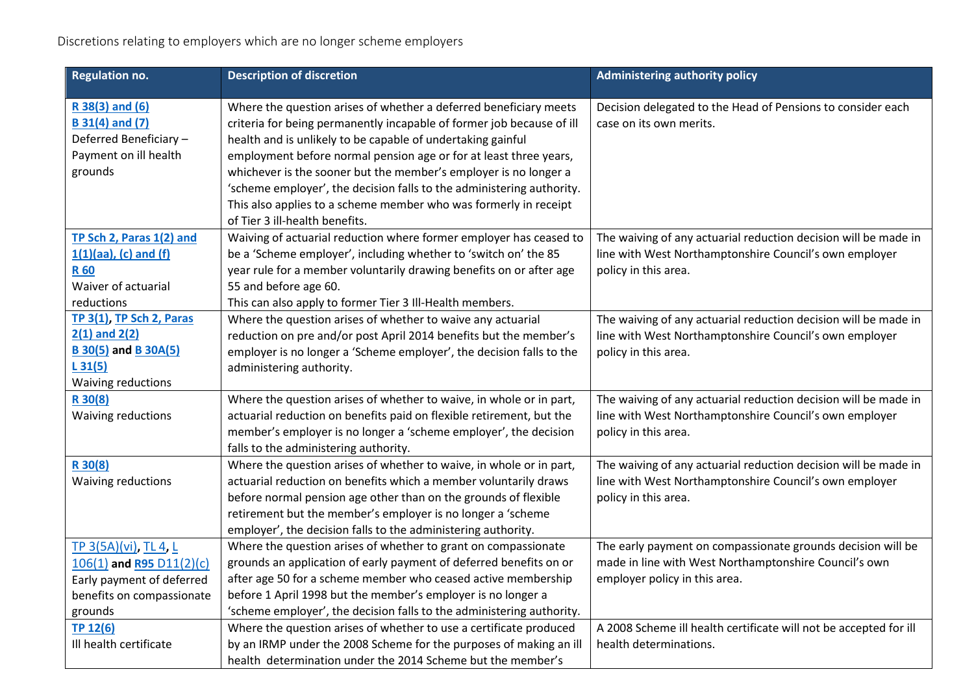| <b>Regulation no.</b>                                                                                                  | <b>Description of discretion</b>                                                                                                                                                                                                                                                                                                                   | <b>Administering authority policy</b>                                                                                                                 |
|------------------------------------------------------------------------------------------------------------------------|----------------------------------------------------------------------------------------------------------------------------------------------------------------------------------------------------------------------------------------------------------------------------------------------------------------------------------------------------|-------------------------------------------------------------------------------------------------------------------------------------------------------|
| R 38(3) and (6)<br><b>B</b> 31(4) and (7)<br>Deferred Beneficiary-<br>Payment on ill health<br>grounds                 | Where the question arises of whether a deferred beneficiary meets<br>criteria for being permanently incapable of former job because of ill<br>health and is unlikely to be capable of undertaking gainful<br>employment before normal pension age or for at least three years,<br>whichever is the sooner but the member's employer is no longer a | Decision delegated to the Head of Pensions to consider each<br>case on its own merits.                                                                |
|                                                                                                                        | 'scheme employer', the decision falls to the administering authority.<br>This also applies to a scheme member who was formerly in receipt<br>of Tier 3 ill-health benefits.                                                                                                                                                                        |                                                                                                                                                       |
| TP Sch 2, Paras 1(2) and<br>$1(1)(aa)$ , (c) and (f)<br><b>R60</b><br>Waiver of actuarial<br>reductions                | Waiving of actuarial reduction where former employer has ceased to<br>be a 'Scheme employer', including whether to 'switch on' the 85<br>year rule for a member voluntarily drawing benefits on or after age<br>55 and before age 60.<br>This can also apply to former Tier 3 Ill-Health members.                                                  | The waiving of any actuarial reduction decision will be made in<br>line with West Northamptonshire Council's own employer<br>policy in this area.     |
| TP 3(1), TP Sch 2, Paras<br>$2(1)$ and $2(2)$<br><b>B</b> 30(5) and <b>B</b> 30A(5)<br>L31(5)<br>Waiving reductions    | Where the question arises of whether to waive any actuarial<br>reduction on pre and/or post April 2014 benefits but the member's<br>employer is no longer a 'Scheme employer', the decision falls to the<br>administering authority.                                                                                                               | The waiving of any actuarial reduction decision will be made in<br>line with West Northamptonshire Council's own employer<br>policy in this area.     |
| R 30(8)<br><b>Waiving reductions</b>                                                                                   | Where the question arises of whether to waive, in whole or in part,<br>actuarial reduction on benefits paid on flexible retirement, but the<br>member's employer is no longer a 'scheme employer', the decision<br>falls to the administering authority.                                                                                           | The waiving of any actuarial reduction decision will be made in<br>line with West Northamptonshire Council's own employer<br>policy in this area.     |
| R 30(8)<br>Waiving reductions                                                                                          | Where the question arises of whether to waive, in whole or in part,<br>actuarial reduction on benefits which a member voluntarily draws<br>before normal pension age other than on the grounds of flexible<br>retirement but the member's employer is no longer a 'scheme<br>employer', the decision falls to the administering authority.         | The waiving of any actuarial reduction decision will be made in<br>line with West Northamptonshire Council's own employer<br>policy in this area.     |
| TP 3(5A)(vi), TL 4, L<br>106(1) and R95 D11(2)(c)<br>Early payment of deferred<br>benefits on compassionate<br>grounds | Where the question arises of whether to grant on compassionate<br>grounds an application of early payment of deferred benefits on or<br>after age 50 for a scheme member who ceased active membership<br>before 1 April 1998 but the member's employer is no longer a<br>'scheme employer', the decision falls to the administering authority.     | The early payment on compassionate grounds decision will be<br>made in line with West Northamptonshire Council's own<br>employer policy in this area. |
| TP 12(6)<br>Ill health certificate                                                                                     | Where the question arises of whether to use a certificate produced<br>by an IRMP under the 2008 Scheme for the purposes of making an ill<br>health determination under the 2014 Scheme but the member's                                                                                                                                            | A 2008 Scheme ill health certificate will not be accepted for ill<br>health determinations.                                                           |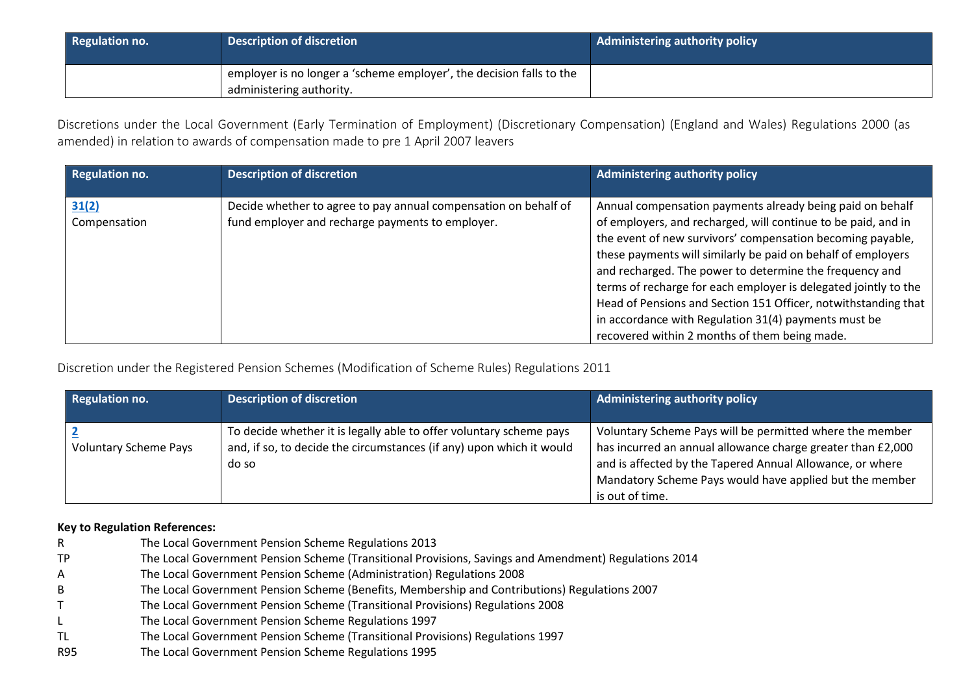| <b>Regulation no.</b> | <b>Description of discretion</b>                                                                 | Administering authority policy |
|-----------------------|--------------------------------------------------------------------------------------------------|--------------------------------|
|                       | employer is no longer a 'scheme employer', the decision falls to the<br>administering authority. |                                |

Discretions under the Local Government (Early Termination of Employment) (Discretionary Compensation) (England and Wales) Regulations 2000 (as amended) in relation to awards of compensation made to pre 1 April 2007 leavers

| <b>Regulation no.</b> | <b>Description of discretion</b>                                                                                    | <b>Administering authority policy</b>                                                                                                                                                                                                                                                                                                                                                                                                                                                                                                                             |
|-----------------------|---------------------------------------------------------------------------------------------------------------------|-------------------------------------------------------------------------------------------------------------------------------------------------------------------------------------------------------------------------------------------------------------------------------------------------------------------------------------------------------------------------------------------------------------------------------------------------------------------------------------------------------------------------------------------------------------------|
| 31(2)<br>Compensation | Decide whether to agree to pay annual compensation on behalf of<br>fund employer and recharge payments to employer. | Annual compensation payments already being paid on behalf<br>of employers, and recharged, will continue to be paid, and in<br>the event of new survivors' compensation becoming payable,<br>these payments will similarly be paid on behalf of employers<br>and recharged. The power to determine the frequency and<br>terms of recharge for each employer is delegated jointly to the<br>Head of Pensions and Section 151 Officer, notwithstanding that<br>in accordance with Regulation 31(4) payments must be<br>recovered within 2 months of them being made. |

Discretion under the Registered Pension Schemes (Modification of Scheme Rules) Regulations 2011

| <b>Regulation no.</b>        | <b>Description of discretion</b>                                                                                                                     | <b>Administering authority policy</b>                                                                                                                                                                                                                              |
|------------------------------|------------------------------------------------------------------------------------------------------------------------------------------------------|--------------------------------------------------------------------------------------------------------------------------------------------------------------------------------------------------------------------------------------------------------------------|
| <b>Voluntary Scheme Pays</b> | To decide whether it is legally able to offer voluntary scheme pays<br>and, if so, to decide the circumstances (if any) upon which it would<br>do so | Voluntary Scheme Pays will be permitted where the member<br>has incurred an annual allowance charge greater than £2,000<br>and is affected by the Tapered Annual Allowance, or where<br>Mandatory Scheme Pays would have applied but the member<br>is out of time. |

#### **Key to Regulation References:**

- R The Local Government Pension Scheme Regulations 2013
- TP The Local Government Pension Scheme (Transitional Provisions, Savings and Amendment) Regulations 2014
- A The Local Government Pension Scheme (Administration) Regulations 2008
- B The Local Government Pension Scheme (Benefits, Membership and Contributions) Regulations 2007
- T The Local Government Pension Scheme (Transitional Provisions) Regulations 2008
- L The Local Government Pension Scheme Regulations 1997
- TL The Local Government Pension Scheme (Transitional Provisions) Regulations 1997
- R95 The Local Government Pension Scheme Regulations 1995